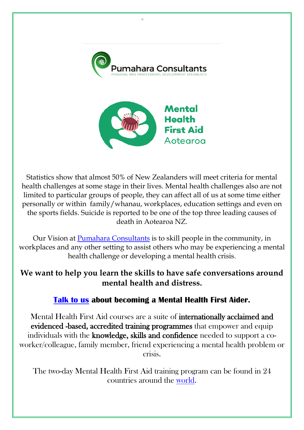



Statistics show that almost 50% of New Zealanders will meet criteria for mental health challenges at some stage in their lives. Mental health challenges also are not limited to particular groups of people, they can affect all of us at some time either personally or within family/whanau, workplaces, education settings and even on the sports fields. Suicide is reported to be one of the top three leading causes of death in Aotearoa NZ.

Our Vision at [Pumahara Consultants](https://www.pumaharaconsultants.co.nz/) is to skill people in the community, in workplaces and any other setting to assist others who may be experiencing a mental health challenge or developing a mental health crisis.

## **We want to help you learn the skills to have safe conversations around mental health and distress.**

## **[Talk to us](https://www.pumaharaconsultants.co.nz/) about becoming a Mental Health First Aider.**

Mental Health First Aid courses are a suite of internationally acclaimed and evidenced -based, accredited training programmes that empower and equip individuals with the knowledge, skills and confidence needed to support a coworker/colleague, family member, friend experiencing a mental health problem or crisis.

The two-day Mental Health First Aid training program can be found in 24 countries around the [world.](file:///E:/ALL%20FILES/MHFA/Mental%20Health%20First%20Aid%20International%20(mhfainternational.org))